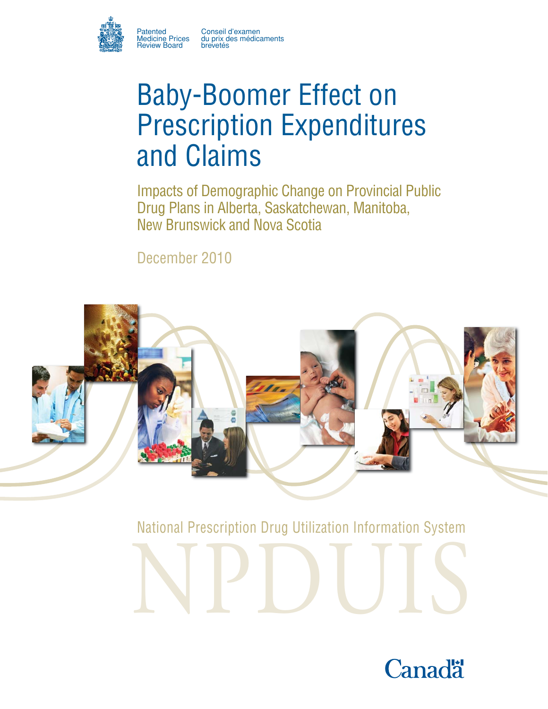

Patented Conseil d'examen Medicine Prices du prix des médicaments

# Baby-Boomer Effect on Prescription Expenditures and Claims

Impacts of Demographic Change on Provincial Public Drug Plans in Alberta, Saskatchewan, Manitoba, New Brunswick and Nova Scotia

December 2010



National Prescription Drug Utilization Information System

NPDUIS

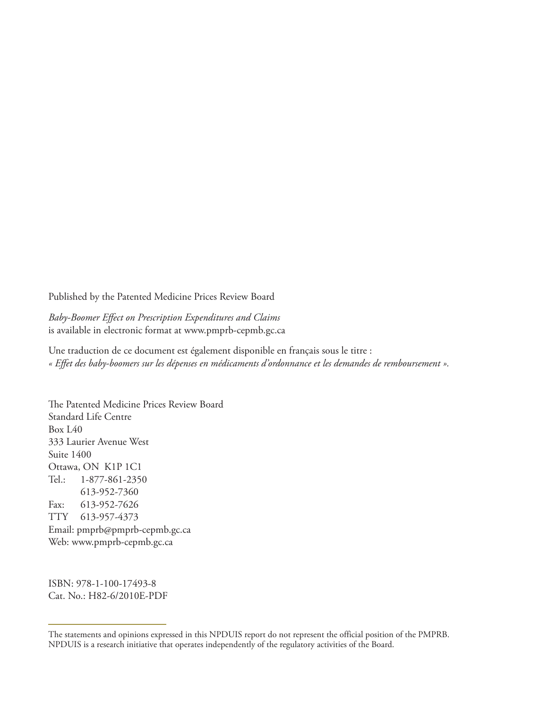Published by the Patented Medicine Prices Review Board

*Baby-Boomer Effect on Prescription Expenditures and Claims* is available in electronic format at www.pmprb-cepmb.gc.ca

Une traduction de ce document est également disponible en français sous le titre : *« Effet des baby-boomers sur les dépenses en médicaments d'ordonnance et les demandes de remboursement ».*

The Patented Medicine Prices Review Board Standard Life Centre Box L40 333 Laurier Avenue West Suite 1400 Ottawa, ON K1P 1C1 Tel.: 1-877-861-2350 613-952-7360 Fax: 613-952-7626 TTY 613-957-4373 Email: pmprb@pmprb-cepmb.gc.ca Web: www.pmprb-cepmb.gc.ca

ISBN: 978-1-100-17493-8 Cat. No.: H82-6/2010E-PDF

The statements and opinions expressed in this NPDUIS report do not represent the official position of the PMPRB. NPDUIS is a research initiative that operates independently of the regulatory activities of the Board.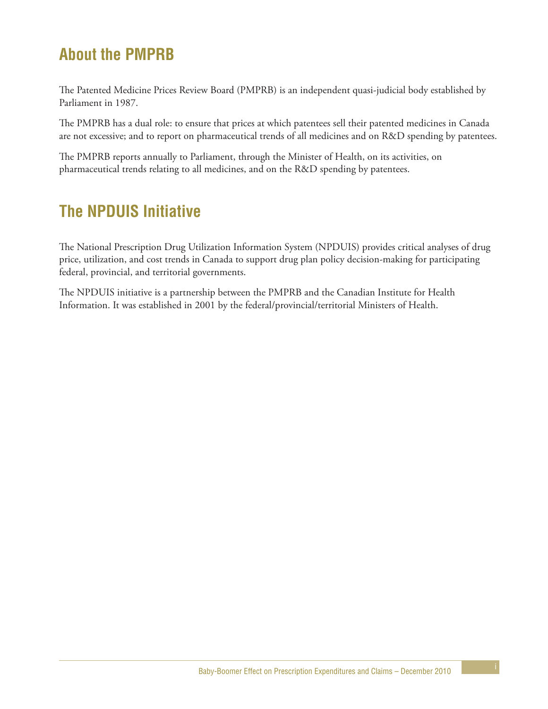# **About the PMPRB**

The Patented Medicine Prices Review Board (PMPRB) is an independent quasi-judicial body established by Parliament in 1987.

The PMPRB has a dual role: to ensure that prices at which patentees sell their patented medicines in Canada are not excessive; and to report on pharmaceutical trends of all medicines and on R&D spending by patentees.

The PMPRB reports annually to Parliament, through the Minister of Health, on its activities, on pharmaceutical trends relating to all medicines, and on the R&D spending by patentees.

# **The NPDUIS Initiative**

The National Prescription Drug Utilization Information System (NPDUIS) provides critical analyses of drug price, utilization, and cost trends in Canada to support drug plan policy decision-making for participating federal, provincial, and territorial governments.

The NPDUIS initiative is a partnership between the PMPRB and the Canadian Institute for Health Information. It was established in 2001 by the federal/provincial/territorial Ministers of Health.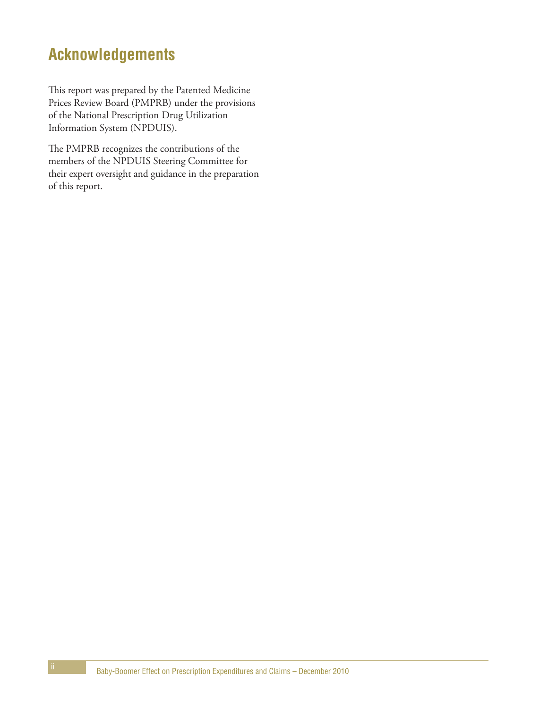# **Acknowledgements**

This report was prepared by the Patented Medicine Prices Review Board (PMPRB) under the provisions of the National Prescription Drug Utilization Information System (NPDUIS).

The PMPRB recognizes the contributions of the members of the NPDUIS Steering Committee for their expert oversight and guidance in the preparation of this report.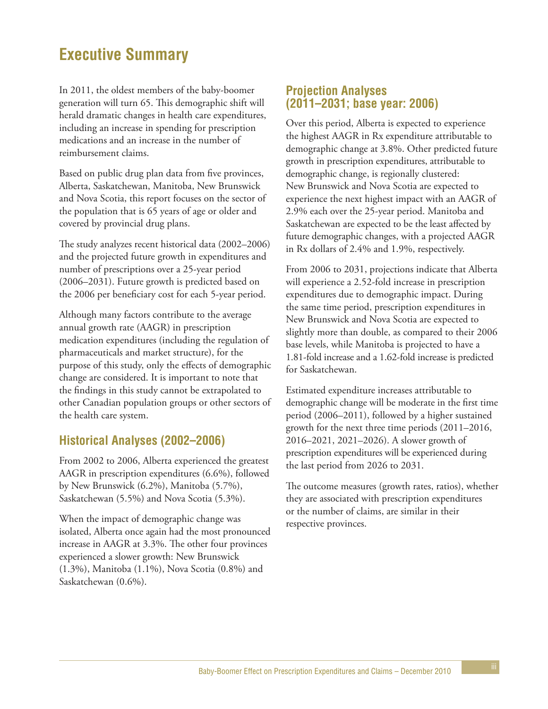# **Executive Summary**

In 2011, the oldest members of the baby-boomer generation will turn 65. This demographic shift will herald dramatic changes in health care expenditures, including an increase in spending for prescription medications and an increase in the number of reimbursement claims.

Based on public drug plan data from five provinces, Alberta, Saskatchewan, Manitoba, New Brunswick and Nova Scotia, this report focuses on the sector of the population that is 65 years of age or older and covered by provincial drug plans.

The study analyzes recent historical data (2002–2006) and the projected future growth in expenditures and number of prescriptions over a 25-year period (2006–2031). Future growth is predicted based on the 2006 per beneficiary cost for each 5-year period.

Although many factors contribute to the average annual growth rate (AAGR) in prescription medication expenditures (including the regulation of pharmaceuticals and market structure), for the purpose of this study, only the effects of demographic change are considered. It is important to note that the findings in this study cannot be extrapolated to other Canadian population groups or other sectors of the health care system.

# **Historical Analyses (2002–2006)**

From 2002 to 2006, Alberta experienced the greatest AAGR in prescription expenditures (6.6%), followed by New Brunswick (6.2%), Manitoba (5.7%), Saskatchewan (5.5%) and Nova Scotia (5.3%).

When the impact of demographic change was isolated, Alberta once again had the most pronounced increase in AAGR at 3.3%. The other four provinces experienced a slower growth: New Brunswick (1.3%), Manitoba (1.1%), Nova Scotia (0.8%) and Saskatchewan (0.6%).

### **Projection Analyses (2011–2031; base year: 2006)**

Over this period, Alberta is expected to experience the highest AAGR in Rx expenditure attributable to demographic change at 3.8%. Other predicted future growth in prescription expenditures, attributable to demographic change, is regionally clustered: New Brunswick and Nova Scotia are expected to experience the next highest impact with an AAGR of 2.9% each over the 25-year period. Manitoba and Saskatchewan are expected to be the least affected by future demographic changes, with a projected AAGR in Rx dollars of 2.4% and 1.9%, respectively.

From 2006 to 2031, projections indicate that Alberta will experience a 2.52-fold increase in prescription expenditures due to demographic impact. During the same time period, prescription expenditures in New Brunswick and Nova Scotia are expected to slightly more than double, as compared to their 2006 base levels, while Manitoba is projected to have a 1.81-fold increase and a 1.62-fold increase is predicted for Saskatchewan.

Estimated expenditure increases attributable to demographic change will be moderate in the first time period (2006–2011), followed by a higher sustained growth for the next three time periods (2011–2016, 2016–2021, 2021–2026). A slower growth of prescription expenditures will be experienced during the last period from 2026 to 2031.

The outcome measures (growth rates, ratios), whether they are associated with prescription expenditures or the number of claims, are similar in their respective provinces.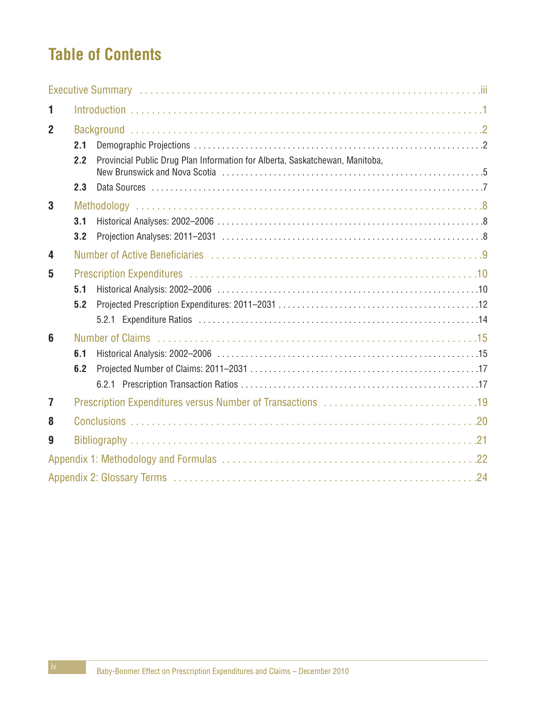# **Table of Contents**

| 1              |     |                                                                              |
|----------------|-----|------------------------------------------------------------------------------|
| $\overline{2}$ |     |                                                                              |
|                | 2.1 |                                                                              |
|                | 2.2 | Provincial Public Drug Plan Information for Alberta, Saskatchewan, Manitoba, |
|                | 2.3 |                                                                              |
| 3              |     |                                                                              |
|                | 3.1 |                                                                              |
|                | 3.2 |                                                                              |
| 4              |     |                                                                              |
| 5              |     |                                                                              |
|                | 5.1 |                                                                              |
|                | 5.2 |                                                                              |
|                |     |                                                                              |
| 6              |     |                                                                              |
|                | 6.1 |                                                                              |
|                | 6.2 |                                                                              |
|                |     |                                                                              |
| $\overline{7}$ |     |                                                                              |
| 8              |     |                                                                              |
| 9              |     |                                                                              |
|                |     |                                                                              |
|                |     |                                                                              |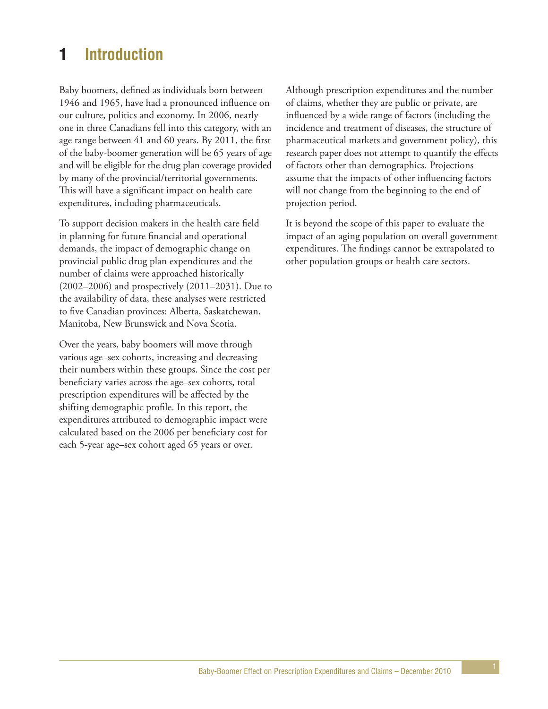# **1 Introduction**

Baby boomers, defined as individuals born between 1946 and 1965, have had a pronounced influence on our culture, politics and economy. In 2006, nearly one in three Canadians fell into this category, with an age range between 41 and 60 years. By 2011, the first of the baby-boomer generation will be 65 years of age and will be eligible for the drug plan coverage provided by many of the provincial/territorial governments. This will have a significant impact on health care expenditures, including pharmaceuticals.

To support decision makers in the health care field in planning for future financial and operational demands, the impact of demographic change on provincial public drug plan expenditures and the number of claims were approached historically (2002–2006) and prospectively (2011–2031). Due to the availability of data, these analyses were restricted to five Canadian provinces: Alberta, Saskatchewan, Manitoba, New Brunswick and Nova Scotia.

Over the years, baby boomers will move through various age–sex cohorts, increasing and decreasing their numbers within these groups. Since the cost per beneficiary varies across the age–sex cohorts, total prescription expenditures will be affected by the shifting demographic profile. In this report, the expenditures attributed to demographic impact were calculated based on the 2006 per beneficiary cost for each 5-year age–sex cohort aged 65 years or over.

Although prescription expenditures and the number of claims, whether they are public or private, are influenced by a wide range of factors (including the incidence and treatment of diseases, the structure of pharmaceutical markets and government policy), this research paper does not attempt to quantify the effects of factors other than demographics. Projections assume that the impacts of other influencing factors will not change from the beginning to the end of projection period.

It is beyond the scope of this paper to evaluate the impact of an aging population on overall government expenditures. The findings cannot be extrapolated to other population groups or health care sectors.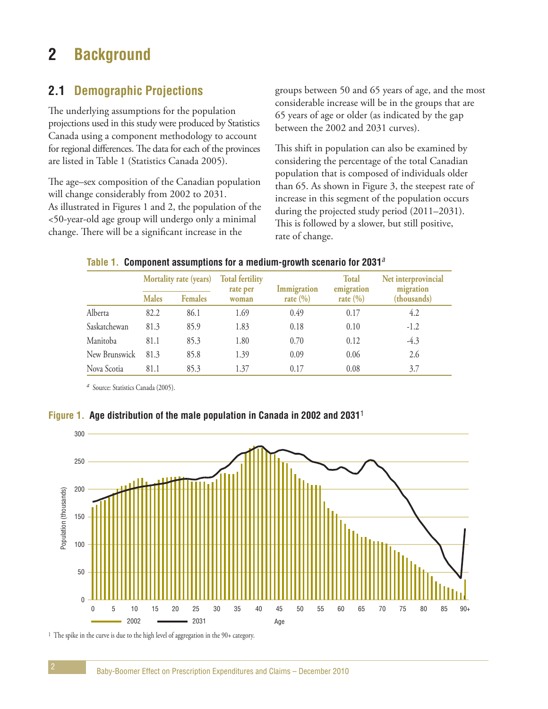# **2 Background**

# **2.1 Demographic Projections**

The underlying assumptions for the population projections used in this study were produced by Statistics Canada using a component methodology to account for regional differences. The data for each of the provinces are listed in Table 1 (Statistics Canada 2005).

The age–sex composition of the Canadian population will change considerably from 2002 to 2031. As illustrated in Figures 1 and 2, the population of the <50-year-old age group will undergo only a minimal change. There will be a significant increase in the

groups between 50 and 65 years of age, and the most considerable increase will be in the groups that are 65 years of age or older (as indicated by the gap between the 2002 and 2031 curves).

This shift in population can also be examined by considering the percentage of the total Canadian population that is composed of individuals older than 65. As shown in Figure 3, the steepest rate of increase in this segment of the population occurs during the projected study period (2011–2031). This is followed by a slower, but still positive, rate of change.

|               | <b>Mortality rate (years)</b> |                | <b>Total fertility</b><br>rate per | Immigration  | <b>Total</b><br>emigration | Net interprovincial<br>migration<br>(thousands) |
|---------------|-------------------------------|----------------|------------------------------------|--------------|----------------------------|-------------------------------------------------|
|               | <b>Males</b>                  | <b>Females</b> | rate $(\% )$<br>woman              | rate $(\% )$ |                            |                                                 |
| Alberta       | 82.2                          | 86.1           | 1.69                               | 0.49         | 0.17                       | 4.2                                             |
| Saskatchewan  | 81.3                          | 85.9           | 1.83                               | 0.18         | 0.10                       | $-1.2$                                          |
| Manitoba      | 81.1                          | 85.3           | 1.80                               | 0.70         | 0.12                       | $-4.3$                                          |
| New Brunswick | 81.3                          | 85.8           | 1.39                               | 0.09         | 0.06                       | 2.6                                             |
| Nova Scotia   | 81.1                          | 85.3           | 1.37                               | 0.17         | 0.08                       | 3.7                                             |

#### **Table 1. Component assumptions for a medium-growth scenario for 2031**<sup>a</sup>

*<sup>a</sup>* Source: Statistics Canada (2005).

### **Figure 1. Age distribution of the male population in Canada in 2002 and 2031**<sup>1</sup>



1 The spike in the curve is due to the high level of aggregation in the 90+ category.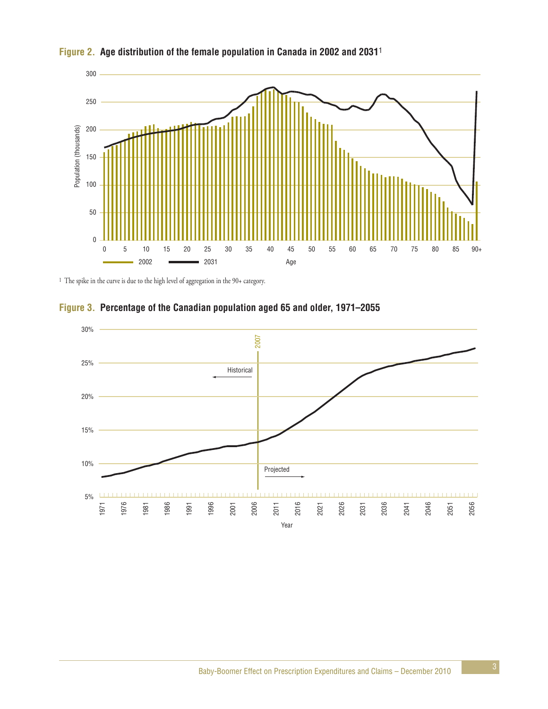

### **Figure 2. Age distribution of the female population in Canada in 2002 and 2031**<sup>1</sup>

1 The spike in the curve is due to the high level of aggregation in the 90+ category.



### **Figure 3. Percentage of the Canadian population aged 65 and older, 1971–2055**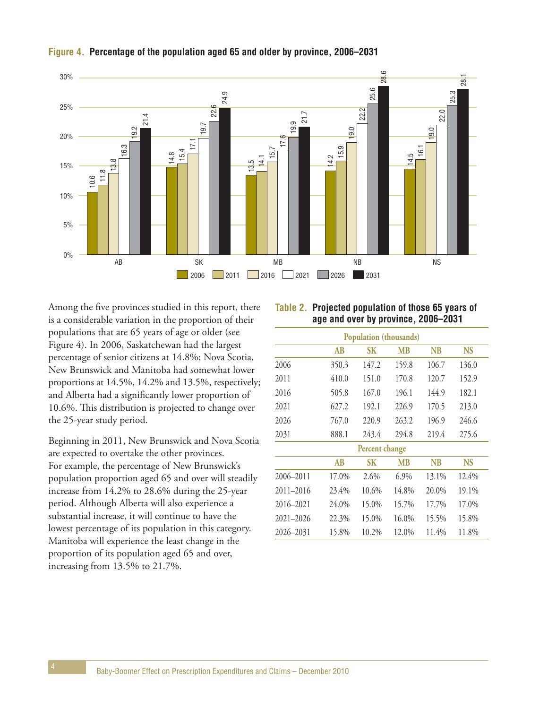

#### **Figure 4. Percentage of the population aged 65 and older by province, 2006–2031**

Among the five provinces studied in this report, there is a considerable variation in the proportion of their populations that are 65 years of age or older (see Figure 4). In 2006, Saskatchewan had the largest percentage of senior citizens at 14.8%; Nova Scotia, New Brunswick and Manitoba had somewhat lower proportions at 14.5%, 14.2% and 13.5%, respectively; and Alberta had a significantly lower proportion of 10.6%. This distribution is projected to change over the 25-year study period.

Beginning in 2011, New Brunswick and Nova Scotia are expected to overtake the other provinces. For example, the percentage of New Brunswick's population proportion aged 65 and over will steadily increase from 14.2% to 28.6% during the 25-year period. Although Alberta will also experience a substantial increase, it will continue to have the lowest percentage of its population in this category. Manitoba will experience the least change in the proportion of its population aged 65 and over, increasing from 13.5% to 21.7%.

| Table 2. Projected population of those 65 years of |
|----------------------------------------------------|
| age and over by province, 2006–2031                |

|               | Population (thousands) |                |           |           |           |  |  |
|---------------|------------------------|----------------|-----------|-----------|-----------|--|--|
|               | AB                     | <b>SK</b>      | <b>MB</b> | <b>NB</b> | <b>NS</b> |  |  |
| 2006          | 350.3                  | 147.2          | 159.8     | 106.7     | 136.0     |  |  |
| 2011          | 410.0                  | 151.0          | 170.8     | 120.7     | 152.9     |  |  |
| 2016          | 505.8                  | 167.0          | 196.1     | 144.9     | 182.1     |  |  |
| 2021          | 627.2                  | 192.1          | 226.9     | 170.5     | 213.0     |  |  |
| 2026          | 767.0                  | 220.9          | 263.2     | 196.9     | 246.6     |  |  |
| 2031          | 888.1                  | 243.4          | 294.8     | 219.4     | 275.6     |  |  |
|               |                        | Percent change |           |           |           |  |  |
|               | AB                     | SК             | <b>MB</b> | <b>NB</b> | <b>NS</b> |  |  |
| 2006-2011     | 17.0%                  | 2.6%           | $6.9\%$   | 13.1%     | 12.4%     |  |  |
| $2011 - 2016$ | 23.4%                  | 10.6%          | 14.8%     | 20.0%     | 19.1%     |  |  |
| 2016-2021     | 24.0%                  | 15.0%          | 15.7%     | 17.7%     | 17.0%     |  |  |
| $2021 - 2026$ | 22.3%                  | 15.0%          | $16.0\%$  | 15.5%     | 15.8%     |  |  |
| 2026-2031     | 15.8%                  | 10.2%          | 12.0%     | 11.4%     | 11.8%     |  |  |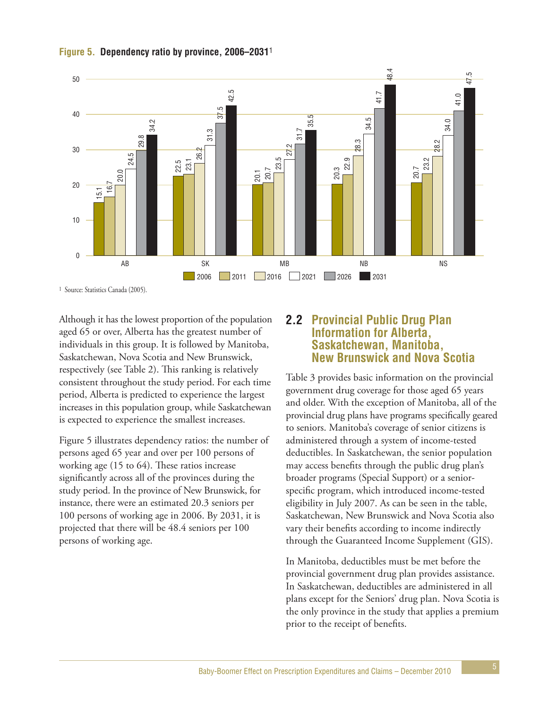



1 Source: Statistics Canada (2005).

Although it has the lowest proportion of the population aged 65 or over, Alberta has the greatest number of individuals in this group. It is followed by Manitoba, Saskatchewan, Nova Scotia and New Brunswick, respectively (see Table 2). This ranking is relatively consistent throughout the study period. For each time period, Alberta is predicted to experience the largest increases in this population group, while Saskatchewan is expected to experience the smallest increases.

Figure 5 illustrates dependency ratios: the number of persons aged 65 year and over per 100 persons of working age (15 to 64). These ratios increase significantly across all of the provinces during the study period. In the province of New Brunswick, for instance, there were an estimated 20.3 seniors per 100 persons of working age in 2006. By 2031, it is projected that there will be 48.4 seniors per 100 persons of working age.

### **2.2 Provincial Public Drug Plan Information for Alberta, Saskatchewan, Manitoba, New Brunswick and Nova Scotia**

Table 3 provides basic information on the provincial government drug coverage for those aged 65 years and older. With the exception of Manitoba, all of the provincial drug plans have programs specifically geared to seniors. Manitoba's coverage of senior citizens is administered through a system of income-tested deductibles. In Saskatchewan, the senior population may access benefits through the public drug plan's broader programs (Special Support) or a seniorspecific program, which introduced income-tested eligibility in July 2007. As can be seen in the table, Saskatchewan, New Brunswick and Nova Scotia also vary their benefits according to income indirectly through the Guaranteed Income Supplement (GIS).

In Manitoba, deductibles must be met before the provincial government drug plan provides assistance. In Saskatchewan, deductibles are administered in all plans except for the Seniors' drug plan. Nova Scotia is the only province in the study that applies a premium prior to the receipt of benefits.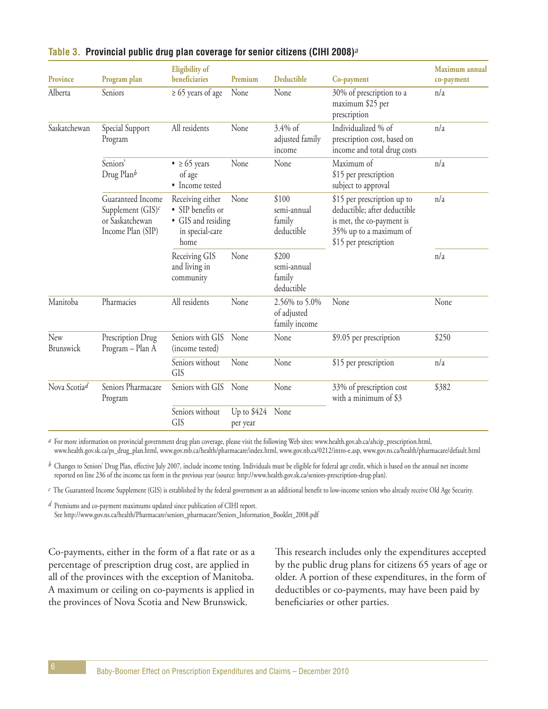| <b>Province</b>  | Program plan                                                                      | <b>Eligibility of</b><br>beneficiaries                                                 | Premium                  | Deductible                                    | Co-payment                                                                                                                                  | Maximum annual<br>co-payment |
|------------------|-----------------------------------------------------------------------------------|----------------------------------------------------------------------------------------|--------------------------|-----------------------------------------------|---------------------------------------------------------------------------------------------------------------------------------------------|------------------------------|
| Alberta          | Seniors                                                                           | $\geq 65$ years of age                                                                 | None                     | None                                          | 30% of prescription to a<br>maximum \$25 per<br>prescription                                                                                | n/a                          |
| Saskatchewan     | Special Support<br>Program                                                        | All residents                                                                          | None                     | 3.4% of<br>adjusted family<br>income          | Individualized % of<br>prescription cost, based on<br>income and total drug costs                                                           | n/a                          |
|                  | Seniors'<br>Drug Planb                                                            | $\bullet \geq 65$ years<br>of age<br>• Income tested                                   | None                     | None                                          | Maximum of<br>\$15 per prescription<br>subject to approval                                                                                  | n/a                          |
|                  | Guaranteed Income<br>Supplement $(GIS)^c$<br>or Saskatchewan<br>Income Plan (SIP) | Receiving either<br>• SIP benefits or<br>• GIS and residing<br>in special-care<br>home | None                     | \$100<br>semi-annual<br>family<br>deductible  | \$15 per prescription up to<br>deductible; after deductible<br>is met, the co-payment is<br>35% up to a maximum of<br>\$15 per prescription | n/a                          |
|                  |                                                                                   | Receiving GIS<br>and living in<br>community                                            | None                     | \$200<br>semi-annual<br>family<br>deductible  |                                                                                                                                             | n/a                          |
| Manitoba         | Pharmacies                                                                        | All residents                                                                          | None                     | 2.56% to 5.0%<br>of adjusted<br>family income | None                                                                                                                                        | None                         |
| New<br>Brunswick | Prescription Drug<br>Program - Plan A                                             | Seniors with GIS<br>(income tested)                                                    | None                     | None                                          | \$9.05 per prescription                                                                                                                     | \$250                        |
|                  |                                                                                   | Seniors without<br><b>GIS</b>                                                          | None                     | None                                          | \$15 per prescription                                                                                                                       | n/a                          |
| Nova Scotiad     | Seniors Pharmacare<br>Program                                                     | Seniors with GIS                                                                       | None                     | None                                          | 33% of prescription cost<br>with a minimum of \$3                                                                                           | \$382                        |
|                  |                                                                                   | Seniors without<br><b>GIS</b>                                                          | Up to $$424$<br>per year | None                                          |                                                                                                                                             |                              |

#### **Table 3. Provincial public drug plan coverage for senior citizens (CIHI 2008)**<sup>a</sup>

*a* For more information on provincial government drug plan coverage, please visit the following Web sites: www.health.gov.ab.ca/ahcip\_prescription.html, www.health.gov.sk.ca/ps\_drug\_plan.html, www.gov.mb.ca/health/pharmacare/index.html, www.gov.nb.ca/0212/intro-e.asp, www.gov.ns.ca/health/pharmacare/default.html

*b* Changes to Seniors' Drug Plan, effective July 2007, include income testing. Individuals must be eligible for federal age credit, which is based on the annual net income reported on line 236 of the income tax form in the previous year (source: http://www.health.gov.sk.ca/seniors-prescription-drug-plan).

*c* The Guaranteed Income Supplement (GIS) is established by the federal government as an additional benefit to low-income seniors who already receive Old Age Security.

*d* Premiums and co-payment maximums updated since publication of CIHI report. See http://www.gov.ns.ca/health/Pharmacare/seniors\_pharmacare/Seniors\_Information\_Booklet\_2008.pdf

Co-payments, either in the form of a flat rate or as a percentage of prescription drug cost, are applied in all of the provinces with the exception of Manitoba. A maximum or ceiling on co-payments is applied in the provinces of Nova Scotia and New Brunswick.

This research includes only the expenditures accepted by the public drug plans for citizens 65 years of age or older. A portion of these expenditures, in the form of deductibles or co-payments, may have been paid by beneficiaries or other parties.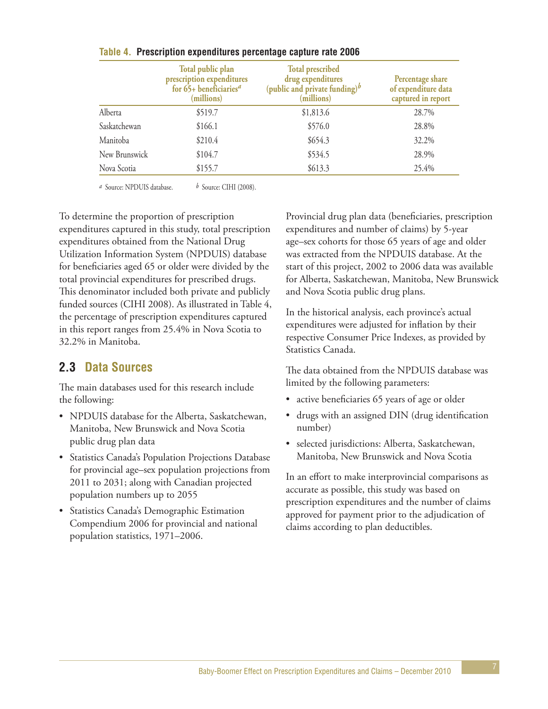|               | Total public plan<br>prescription expenditures<br>for $65+$ beneficiaries <sup>a</sup><br>(millions) | <b>Total prescribed</b><br>drug expenditures<br>(public and private funding) $\frac{b}{b}$<br>(millions) | Percentage share<br>of expenditure data<br>captured in report |
|---------------|------------------------------------------------------------------------------------------------------|----------------------------------------------------------------------------------------------------------|---------------------------------------------------------------|
| Alberta       | \$519.7                                                                                              | \$1,813.6                                                                                                | 28.7%                                                         |
| Saskatchewan  | \$166.1                                                                                              | \$576.0                                                                                                  | 28.8%                                                         |
| Manitoba      | \$210.4                                                                                              | \$654.3                                                                                                  | 32.2%                                                         |
| New Brunswick | \$104.7                                                                                              | \$534.5                                                                                                  | 28.9%                                                         |
| Nova Scotia   | \$155.7                                                                                              | \$613.3                                                                                                  | 25.4%                                                         |

#### **Table 4. Prescription expenditures percentage capture rate 2006**

*a* Source: NPDUIS database. *b* Source: CIHI (2008).

To determine the proportion of prescription expenditures captured in this study, total prescription expenditures obtained from the National Drug Utilization Information System (NPDUIS) database for beneficiaries aged 65 or older were divided by the total provincial expenditures for prescribed drugs. This denominator included both private and publicly funded sources (CIHI 2008). As illustrated in Table 4, the percentage of prescription expenditures captured in this report ranges from 25.4% in Nova Scotia to 32.2% in Manitoba.

# **2.3 Data Sources**

The main databases used for this research include the following:

- NPDUIS database for the Alberta, Saskatchewan, Manitoba, New Brunswick and Nova Scotia public drug plan data
- Statistics Canada's Population Projections Database for provincial age–sex population projections from 2011 to 2031; along with Canadian projected population numbers up to 2055
- Statistics Canada's Demographic Estimation Compendium 2006 for provincial and national population statistics, 1971–2006.

Provincial drug plan data (beneficiaries, prescription expenditures and number of claims) by 5-year age–sex cohorts for those 65 years of age and older was extracted from the NPDUIS database. At the start of this project, 2002 to 2006 data was available for Alberta, Saskatchewan, Manitoba, New Brunswick and Nova Scotia public drug plans.

In the historical analysis, each province's actual expenditures were adjusted for inflation by their respective Consumer Price Indexes, as provided by Statistics Canada.

The data obtained from the NPDUIS database was limited by the following parameters:

- active beneficiaries 65 years of age or older
- drugs with an assigned DIN (drug identification number)
- selected jurisdictions: Alberta, Saskatchewan, Manitoba, New Brunswick and Nova Scotia

In an effort to make interprovincial comparisons as accurate as possible, this study was based on prescription expenditures and the number of claims approved for payment prior to the adjudication of claims according to plan deductibles.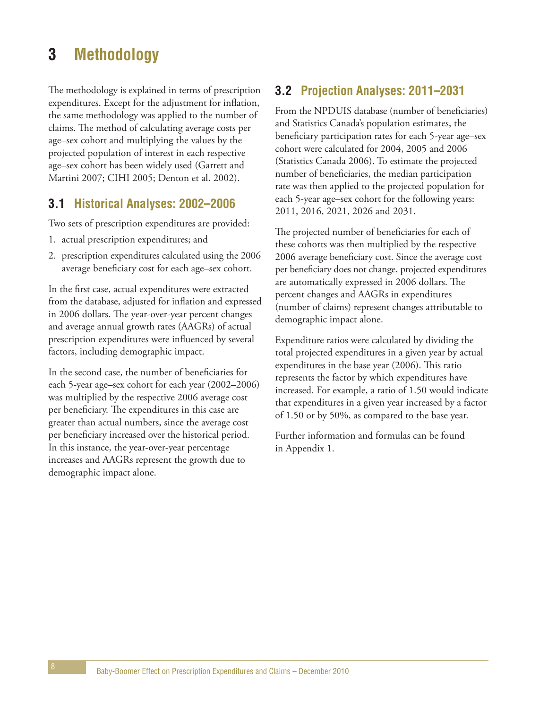# **3 Methodology**

The methodology is explained in terms of prescription expenditures. Except for the adjustment for inflation, the same methodology was applied to the number of claims. The method of calculating average costs per age–sex cohort and multiplying the values by the projected population of interest in each respective age–sex cohort has been widely used (Garrett and Martini 2007; CIHI 2005; Denton et al. 2002).

# **3.1 Historical Analyses: 2002–2006**

Two sets of prescription expenditures are provided:

- 1. actual prescription expenditures; and
- 2. prescription expenditures calculated using the 2006 average beneficiary cost for each age–sex cohort.

In the first case, actual expenditures were extracted from the database, adjusted for inflation and expressed in 2006 dollars. The year-over-year percent changes and average annual growth rates (AAGRs) of actual prescription expenditures were influenced by several factors, including demographic impact.

In the second case, the number of beneficiaries for each 5-year age–sex cohort for each year (2002–2006) was multiplied by the respective 2006 average cost per beneficiary. The expenditures in this case are greater than actual numbers, since the average cost per beneficiary increased over the historical period. In this instance, the year-over-year percentage increases and AAGRs represent the growth due to demographic impact alone.

# **3.2 Projection Analyses: 2011–2031**

From the NPDUIS database (number of beneficiaries) and Statistics Canada's population estimates, the beneficiary participation rates for each 5-year age–sex cohort were calculated for 2004, 2005 and 2006 (Statistics Canada 2006). To estimate the projected number of beneficiaries, the median participation rate was then applied to the projected population for each 5-year age–sex cohort for the following years: 2011, 2016, 2021, 2026 and 2031.

The projected number of beneficiaries for each of these cohorts was then multiplied by the respective 2006 average beneficiary cost. Since the average cost per beneficiary does not change, projected expenditures are automatically expressed in 2006 dollars. The percent changes and AAGRs in expenditures (number of claims) represent changes attributable to demographic impact alone.

Expenditure ratios were calculated by dividing the total projected expenditures in a given year by actual expenditures in the base year (2006). This ratio represents the factor by which expenditures have increased. For example, a ratio of 1.50 would indicate that expenditures in a given year increased by a factor of 1.50 or by 50%, as compared to the base year.

Further information and formulas can be found in Appendix 1.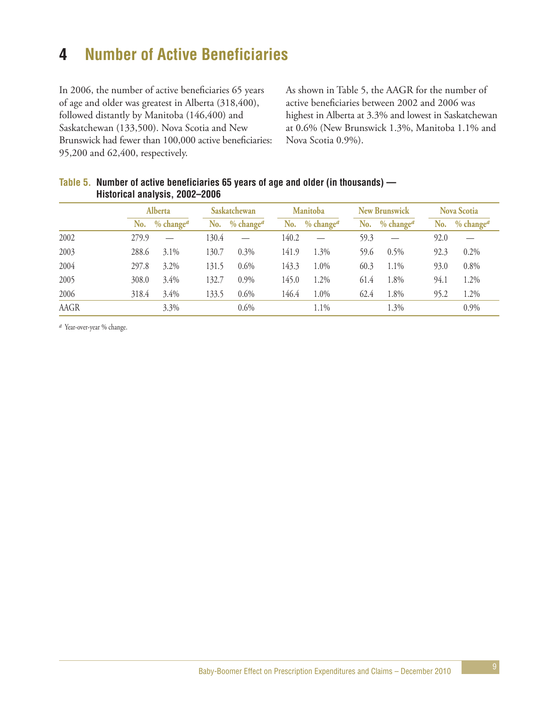# **4 Number of Active Beneficiaries**

In 2006, the number of active beneficiaries 65 years of age and older was greatest in Alberta (318,400), followed distantly by Manitoba (146,400) and Saskatchewan (133,500). Nova Scotia and New Brunswick had fewer than 100,000 active beneficiaries: 95,200 and 62,400, respectively.

As shown in Table 5, the AAGR for the number of active beneficiaries between 2002 and 2006 was highest in Alberta at 3.3% and lowest in Saskatchewan at 0.6% (New Brunswick 1.3%, Manitoba 1.1% and Nova Scotia 0.9%).

|      | Alberta |                 |       | Saskatchewan<br><b>Manitoba</b> |       |                 | <b>New Brunswick</b> |                                        | <b>Nova Scotia</b> |                 |
|------|---------|-----------------|-------|---------------------------------|-------|-----------------|----------------------|----------------------------------------|--------------------|-----------------|
|      |         | No. $% changea$ |       | No. $% changea$                 |       | No. $% changea$ |                      | No. % change <sup><math>a</math></sup> |                    | No. $% changea$ |
| 2002 | 279.9   |                 | 130.4 |                                 | 140.2 |                 | 59.3                 |                                        | 92.0               |                 |
| 2003 | 288.6   | $3.1\%$         | 130.7 | $0.3\%$                         | 141.9 | 1.3%            | 59.6                 | $0.5\%$                                | 92.3               | 0.2%            |
| 2004 | 297.8   | 3.2%            | 131.5 | 0.6%                            | 143.3 | 1.0%            | 60.3                 | 1.1%                                   | 93.0               | 0.8%            |
| 2005 | 308.0   | 3.4%            | 132.7 | $0.9\%$                         | 145.0 | 1.2%            | 61.4                 | 1.8%                                   | 94.1               | 1.2%            |
| 2006 | 318.4   | $3.4\%$         | 133.5 | 0.6%                            | 146.4 | 1.0%            | 62.4                 | 1.8%                                   | 95.2               | 1.2%            |
| AAGR |         | $3.3\%$         |       | $0.6\%$                         |       | 1.1%            |                      | 1.3%                                   |                    | 0.9%            |

#### **Table 5. Number of active beneficiaries 65 years of age and older (in thousands) — Historical analysis, 2002–2006**

*a* Year-over-year % change.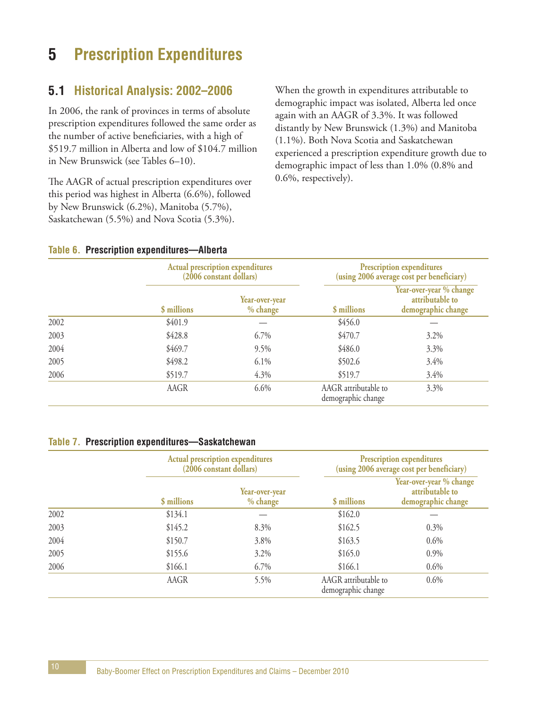# **5 Prescription Expenditures**

## **5.1 Historical Analysis: 2002–2006**

In 2006, the rank of provinces in terms of absolute prescription expenditures followed the same order as the number of active beneficiaries, with a high of \$519.7 million in Alberta and low of \$104.7 million in New Brunswick (see Tables 6–10).

The AAGR of actual prescription expenditures over this period was highest in Alberta (6.6%), followed by New Brunswick (6.2%), Manitoba (5.7%), Saskatchewan (5.5%) and Nova Scotia (5.3%).

When the growth in expenditures attributable to demographic impact was isolated, Alberta led once again with an AAGR of 3.3%. It was followed distantly by New Brunswick (1.3%) and Manitoba (1.1%). Both Nova Scotia and Saskatchewan experienced a prescription expenditure growth due to demographic impact of less than 1.0% (0.8% and 0.6%, respectively).

#### **Table 6. Prescription expenditures—Alberta**

|      |             | <b>Actual prescription expenditures</b><br>(2006 constant dollars) | <b>Prescription expenditures</b><br>(using 2006 average cost per beneficiary) |                                                                  |  |
|------|-------------|--------------------------------------------------------------------|-------------------------------------------------------------------------------|------------------------------------------------------------------|--|
|      | \$ millions | Year-over-year<br>% change                                         | \$ millions                                                                   | Year-over-year % change<br>attributable to<br>demographic change |  |
| 2002 | \$401.9     |                                                                    | \$456.0                                                                       |                                                                  |  |
| 2003 | \$428.8     | 6.7%                                                               | \$470.7                                                                       | $3.2\%$                                                          |  |
| 2004 | \$469.7     | 9.5%                                                               | \$486.0                                                                       | 3.3%                                                             |  |
| 2005 | \$498.2     | 6.1%                                                               | \$502.6                                                                       | 3.4%                                                             |  |
| 2006 | \$519.7     | 4.3%                                                               | \$519.7                                                                       | 3.4%                                                             |  |
|      | AAGR        | 6.6%                                                               | AAGR attributable to<br>demographic change                                    | 3.3%                                                             |  |

#### **Table 7. Prescription expenditures—Saskatchewan**

|      |             | <b>Actual prescription expenditures</b><br>(2006 constant dollars) |                                            | <b>Prescription expenditures</b><br>(using 2006 average cost per beneficiary) |  |  |
|------|-------------|--------------------------------------------------------------------|--------------------------------------------|-------------------------------------------------------------------------------|--|--|
|      | \$ millions | Year-over-year<br>% change                                         | \$ millions                                | Year-over-year % change<br>attributable to<br>demographic change              |  |  |
| 2002 | \$134.1     |                                                                    | \$162.0                                    |                                                                               |  |  |
| 2003 | \$145.2     | 8.3%                                                               | \$162.5                                    | $0.3\%$                                                                       |  |  |
| 2004 | \$150.7     | 3.8%                                                               | \$163.5                                    | 0.6%                                                                          |  |  |
| 2005 | \$155.6     | 3.2%                                                               | \$165.0                                    | 0.9%                                                                          |  |  |
| 2006 | \$166.1     | 6.7%                                                               | \$166.1                                    | 0.6%                                                                          |  |  |
|      | AAGR        | 5.5%                                                               | AAGR attributable to<br>demographic change | 0.6%                                                                          |  |  |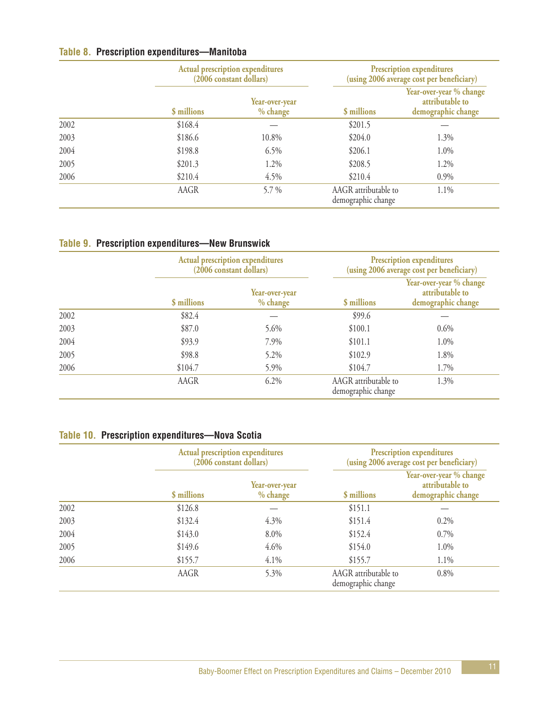### **Table 8. Prescription expenditures—Manitoba**

|      |             | <b>Actual prescription expenditures</b><br>(2006 constant dollars) |                                            | <b>Prescription expenditures</b><br>(using 2006 average cost per beneficiary) |  |  |
|------|-------------|--------------------------------------------------------------------|--------------------------------------------|-------------------------------------------------------------------------------|--|--|
|      | \$ millions | Year-over-year<br>% change                                         | \$ millions                                | Year-over-year % change<br>attributable to<br>demographic change              |  |  |
| 2002 | \$168.4     |                                                                    | \$201.5                                    |                                                                               |  |  |
| 2003 | \$186.6     | 10.8%                                                              | \$204.0                                    | 1.3%                                                                          |  |  |
| 2004 | \$198.8     | 6.5%                                                               | \$206.1                                    | 1.0%                                                                          |  |  |
| 2005 | \$201.3     | 1.2%                                                               | \$208.5                                    | 1.2%                                                                          |  |  |
| 2006 | \$210.4     | 4.5%                                                               | \$210.4                                    | 0.9%                                                                          |  |  |
|      | AAGR        | 5.7 %                                                              | AAGR attributable to<br>demographic change | 1.1%                                                                          |  |  |

### **Table 9. Prescription expenditures—New Brunswick**

|      |             | <b>Actual prescription expenditures</b><br>(2006 constant dollars) |                                            | <b>Prescription expenditures</b><br>(using 2006 average cost per beneficiary) |  |  |
|------|-------------|--------------------------------------------------------------------|--------------------------------------------|-------------------------------------------------------------------------------|--|--|
|      | \$ millions | Year-over-year<br>% change                                         | \$ millions                                | Year-over-year % change<br>attributable to<br>demographic change              |  |  |
| 2002 | \$82.4      |                                                                    | \$99.6                                     |                                                                               |  |  |
| 2003 | \$87.0      | 5.6%                                                               | \$100.1                                    | 0.6%                                                                          |  |  |
| 2004 | \$93.9      | 7.9%                                                               | \$101.1                                    | 1.0%                                                                          |  |  |
| 2005 | \$98.8      | 5.2%                                                               | \$102.9                                    | 1.8%                                                                          |  |  |
| 2006 | \$104.7     | 5.9%                                                               | \$104.7                                    | 1.7%                                                                          |  |  |
|      | AAGR        | 6.2%                                                               | AAGR attributable to<br>demographic change | 1.3%                                                                          |  |  |

### **Table 10. Prescription expenditures—Nova Scotia**

|      |             | <b>Actual prescription expenditures</b><br>(2006 constant dollars) | <b>Prescription expenditures</b><br>(using 2006 average cost per beneficiary) |                                                                  |  |
|------|-------------|--------------------------------------------------------------------|-------------------------------------------------------------------------------|------------------------------------------------------------------|--|
|      | \$ millions | Year-over-year<br>% change                                         | \$ millions                                                                   | Year-over-year % change<br>attributable to<br>demographic change |  |
| 2002 | \$126.8     |                                                                    | \$151.1                                                                       |                                                                  |  |
| 2003 | \$132.4     | 4.3%                                                               | \$151.4                                                                       | $0.2\%$                                                          |  |
| 2004 | \$143.0     | 8.0%                                                               | \$152.4                                                                       | $0.7\%$                                                          |  |
| 2005 | \$149.6     | 4.6%                                                               | \$154.0                                                                       | 1.0%                                                             |  |
| 2006 | \$155.7     | 4.1%                                                               | \$155.7                                                                       | 1.1%                                                             |  |
|      | AAGR        | 5.3%                                                               | AAGR attributable to<br>demographic change                                    | 0.8%                                                             |  |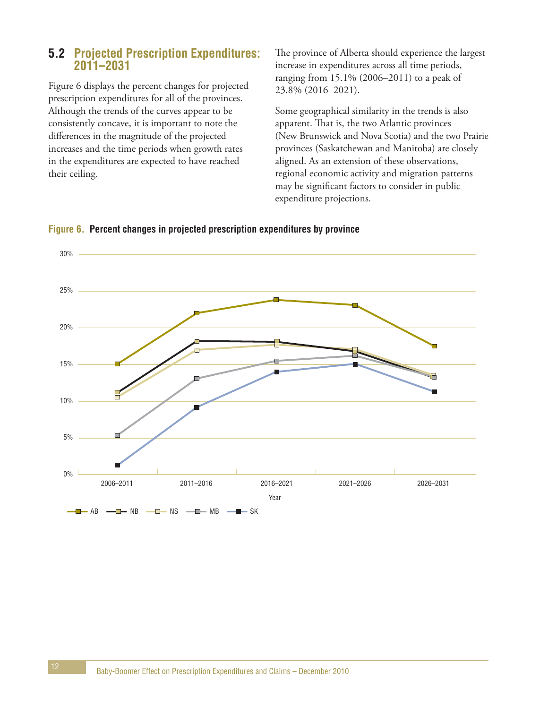### **5.2 Projected Prescription Expenditures: 2011–2031**

Figure 6 displays the percent changes for projected prescription expenditures for all of the provinces. Although the trends of the curves appear to be consistently concave, it is important to note the differences in the magnitude of the projected increases and the time periods when growth rates in the expenditures are expected to have reached their ceiling.

The province of Alberta should experience the largest increase in expenditures across all time periods, ranging from 15.1% (2006–2011) to a peak of 23.8% (2016–2021).

Some geographical similarity in the trends is also apparent. That is, the two Atlantic provinces (New Brunswick and Nova Scotia) and the two Prairie provinces (Saskatchewan and Manitoba) are closely aligned. As an extension of these observations, regional economic activity and migration patterns may be significant factors to consider in public expenditure projections.



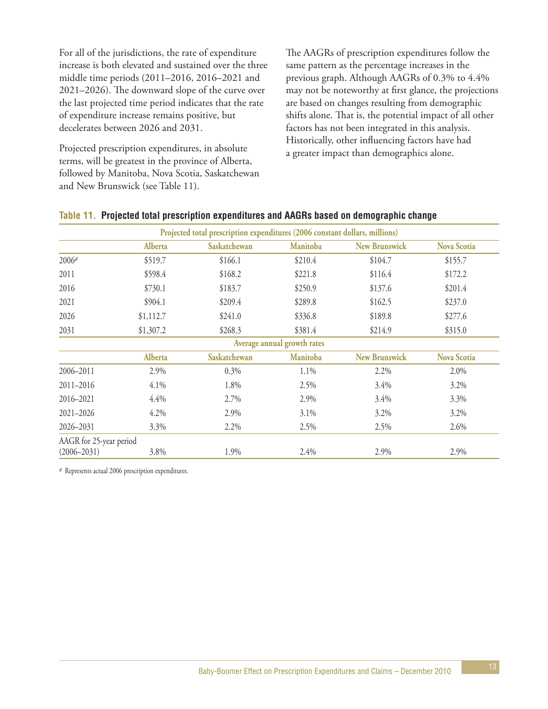For all of the jurisdictions, the rate of expenditure increase is both elevated and sustained over the three middle time periods (2011–2016, 2016–2021 and 2021–2026). The downward slope of the curve over the last projected time period indicates that the rate of expenditure increase remains positive, but decelerates between 2026 and 2031.

Projected prescription expenditures, in absolute terms, will be greatest in the province of Alberta, followed by Manitoba, Nova Scotia, Saskatchewan and New Brunswick (see Table 11).

The AAGRs of prescription expenditures follow the same pattern as the percentage increases in the previous graph. Although AAGRs of 0.3% to 4.4% may not be noteworthy at first glance, the projections are based on changes resulting from demographic shifts alone. That is, the potential impact of all other factors has not been integrated in this analysis. Historically, other influencing factors have had a greater impact than demographics alone.

|                         | Projected total prescription expenditures (2006 constant dollars, millions) |              |                             |                      |                    |  |  |  |
|-------------------------|-----------------------------------------------------------------------------|--------------|-----------------------------|----------------------|--------------------|--|--|--|
|                         | Alberta                                                                     | Saskatchewan | Manitoba                    | <b>New Brunswick</b> | <b>Nova Scotia</b> |  |  |  |
| 2006 <sup>a</sup>       | \$519.7                                                                     | \$166.1      | \$210.4                     | \$104.7              | \$155.7            |  |  |  |
| 2011                    | \$598.4                                                                     | \$168.2      | \$221.8                     | \$116.4              | \$172.2            |  |  |  |
| 2016                    | \$730.1                                                                     | \$183.7      | \$250.9                     | \$137.6              | \$201.4            |  |  |  |
| 2021                    | \$904.1                                                                     | \$209.4      | \$289.8                     | \$162.5              | \$237.0            |  |  |  |
| 2026                    | \$1,112.7                                                                   | \$241.0      | \$336.8                     | \$189.8              | \$277.6            |  |  |  |
| 2031                    | \$1,307.2                                                                   | \$268.3      | \$381.4                     | \$214.9              | \$315.0            |  |  |  |
|                         |                                                                             |              | Average annual growth rates |                      |                    |  |  |  |
|                         | Alberta                                                                     | Saskatchewan | Manitoba                    | <b>New Brunswick</b> | <b>Nova Scotia</b> |  |  |  |
| 2006-2011               | 2.9%                                                                        | 0.3%         | 1.1%                        | 2.2%                 | 2.0%               |  |  |  |
| $2011 - 2016$           | 4.1%                                                                        | 1.8%         | 2.5%                        | 3.4%                 | 3.2%               |  |  |  |
| 2016-2021               | 4.4%                                                                        | 2.7%         | 2.9%                        | 3.4%                 | 3.3%               |  |  |  |
| 2021-2026               | 4.2%                                                                        | 2.9%         | 3.1%                        | 3.2%                 | 3.2%               |  |  |  |
| 2026-2031               | 3.3%                                                                        | 2.2%         | 2.5%                        | 2.5%                 | 2.6%               |  |  |  |
| AAGR for 25-year period |                                                                             |              |                             |                      |                    |  |  |  |
| $(2006 - 2031)$         | 3.8%                                                                        | 1.9%         | 2.4%                        | 2.9%                 | 2.9%               |  |  |  |

#### **Table 11. Projected total prescription expenditures and AAGRs based on demographic change**

*a* Represents actual 2006 prescription expenditures.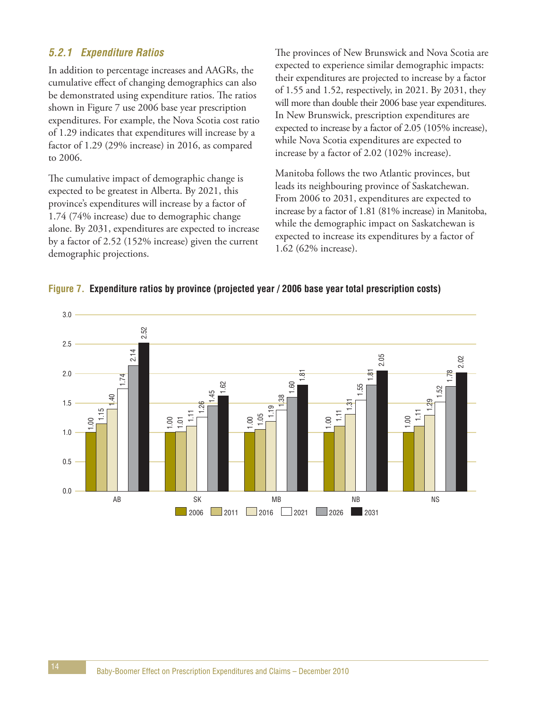### **5.2.1 Expenditure Ratios**

In addition to percentage increases and AAGRs, the cumulative effect of changing demographics can also be demonstrated using expenditure ratios. The ratios shown in Figure 7 use 2006 base year prescription expenditures. For example, the Nova Scotia cost ratio of 1.29 indicates that expenditures will increase by a factor of 1.29 (29% increase) in 2016, as compared to 2006.

The cumulative impact of demographic change is expected to be greatest in Alberta. By 2021, this province's expenditures will increase by a factor of 1.74 (74% increase) due to demographic change alone. By 2031, expenditures are expected to increase by a factor of 2.52 (152% increase) given the current demographic projections.

The provinces of New Brunswick and Nova Scotia are expected to experience similar demographic impacts: their expenditures are projected to increase by a factor of 1.55 and 1.52, respectively, in 2021. By 2031, they will more than double their 2006 base year expenditures. In New Brunswick, prescription expenditures are expected to increase by a factor of 2.05 (105% increase), while Nova Scotia expenditures are expected to increase by a factor of 2.02 (102% increase).

Manitoba follows the two Atlantic provinces, but leads its neighbouring province of Saskatchewan. From 2006 to 2031, expenditures are expected to increase by a factor of 1.81 (81% increase) in Manitoba, while the demographic impact on Saskatchewan is expected to increase its expenditures by a factor of 1.62 (62% increase).

#### **Figure 7. Expenditure ratios by province (projected year / 2006 base year total prescription costs)**

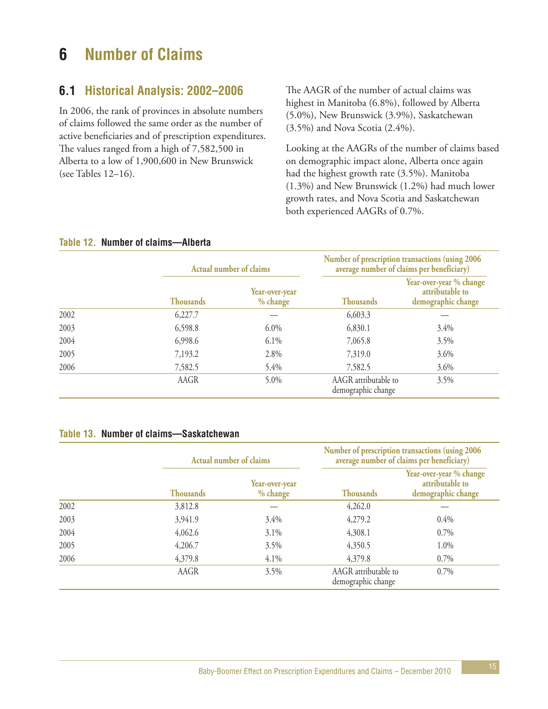# **6 Number of Claims**

## **6.1 Historical Analysis: 2002–2006**

In 2006, the rank of provinces in absolute numbers of claims followed the same order as the number of active beneficiaries and of prescription expenditures. The values ranged from a high of 7,582,500 in Alberta to a low of 1,900,600 in New Brunswick (see Tables 12–16).

The AAGR of the number of actual claims was highest in Manitoba (6.8%), followed by Alberta (5.0%), New Brunswick (3.9%), Saskatchewan (3.5%) and Nova Scotia (2.4%).

Looking at the AAGRs of the number of claims based on demographic impact alone, Alberta once again had the highest growth rate (3.5%). Manitoba (1.3%) and New Brunswick (1.2%) had much lower growth rates, and Nova Scotia and Saskatchewan both experienced AAGRs of 0.7%.

|      | Actual number of claims |                            |                                            | Number of prescription transactions (using 2006<br>average number of claims per beneficiary) |  |  |
|------|-------------------------|----------------------------|--------------------------------------------|----------------------------------------------------------------------------------------------|--|--|
|      | <b>Thousands</b>        | Year-over-year<br>% change | <b>Thousands</b>                           | Year-over-year % change<br>attributable to<br>demographic change                             |  |  |
| 2002 | 6,227.7                 |                            | 6,603.3                                    |                                                                                              |  |  |
| 2003 | 6,598.8                 | $6.0\%$                    | 6,830.1                                    | 3.4%                                                                                         |  |  |
| 2004 | 6,998.6                 | 6.1%                       | 7,065.8                                    | 3.5%                                                                                         |  |  |
| 2005 | 7,193.2                 | 2.8%                       | 7,319.0                                    | 3.6%                                                                                         |  |  |
| 2006 | 7,582.5                 | 5.4%                       | 7,582.5                                    | 3.6%                                                                                         |  |  |
|      | AAGR                    | 5.0%                       | AAGR attributable to<br>demographic change | 3.5%                                                                                         |  |  |

#### **Table 12. Number of claims—Alberta**

#### **Table 13. Number of claims—Saskatchewan**

|      |                  | <b>Actual number of claims</b> |                                            | Number of prescription transactions (using 2006)<br>average number of claims per beneficiary) |  |  |
|------|------------------|--------------------------------|--------------------------------------------|-----------------------------------------------------------------------------------------------|--|--|
|      | <b>Thousands</b> | Year-over-year<br>% change     | <b>Thousands</b>                           | Year-over-year % change<br>attributable to<br>demographic change                              |  |  |
| 2002 | 3,812.8          |                                | 4,262.0                                    |                                                                                               |  |  |
| 2003 | 3,941.9          | 3.4%                           | 4,279.2                                    | 0.4%                                                                                          |  |  |
| 2004 | 4,062.6          | $3.1\%$                        | 4,308.1                                    | 0.7%                                                                                          |  |  |
| 2005 | 4,206.7          | 3.5%                           | 4,350.5                                    | 1.0%                                                                                          |  |  |
| 2006 | 4,379.8          | 4.1%                           | 4,379.8                                    | 0.7%                                                                                          |  |  |
|      | AAGR             | 3.5%                           | AAGR attributable to<br>demographic change | 0.7%                                                                                          |  |  |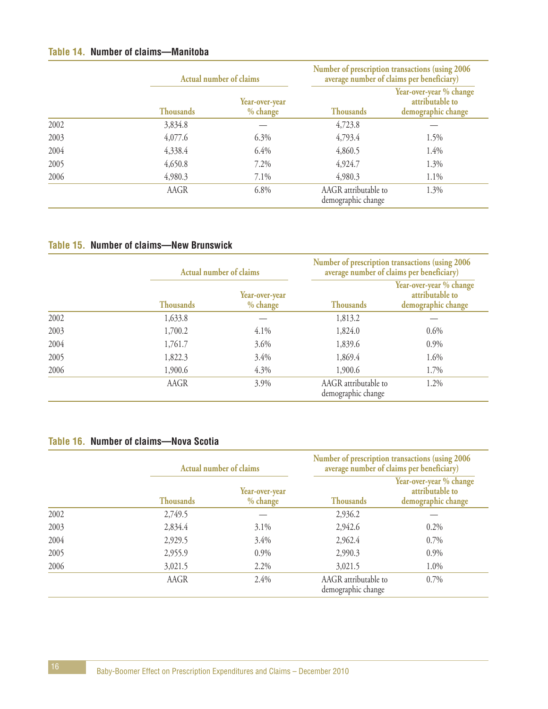#### **Table 14. Number of claims—Manitoba**

|      |                  | Actual number of claims    |                                            | Number of prescription transactions (using 2006<br>average number of claims per beneficiary) |  |  |
|------|------------------|----------------------------|--------------------------------------------|----------------------------------------------------------------------------------------------|--|--|
|      | <b>Thousands</b> | Year-over-year<br>% change | <b>Thousands</b>                           | Year-over-year % change<br>attributable to<br>demographic change                             |  |  |
| 2002 | 3,834.8          |                            | 4,723.8                                    |                                                                                              |  |  |
| 2003 | 4,077.6          | 6.3%                       | 4,793.4                                    | 1.5%                                                                                         |  |  |
| 2004 | 4,338.4          | 6.4%                       | 4,860.5                                    | 1.4%                                                                                         |  |  |
| 2005 | 4,650.8          | 7.2%                       | 4,924.7                                    | 1.3%                                                                                         |  |  |
| 2006 | 4,980.3          | 7.1%                       | 4,980.3                                    | 1.1%                                                                                         |  |  |
|      | AAGR             | 6.8%                       | AAGR attributable to<br>demographic change | 1.3%                                                                                         |  |  |

### **Table 15. Number of claims—New Brunswick**

|      |                  | <b>Actual number of claims</b> | Number of prescription transactions (using 2006<br>average number of claims per beneficiary) |                                                                  |  |  |
|------|------------------|--------------------------------|----------------------------------------------------------------------------------------------|------------------------------------------------------------------|--|--|
|      | <b>Thousands</b> | Year-over-year<br>% change     | <b>Thousands</b>                                                                             | Year-over-year % change<br>attributable to<br>demographic change |  |  |
| 2002 | 1,633.8          |                                | 1,813.2                                                                                      |                                                                  |  |  |
| 2003 | 1,700.2          | 4.1%                           | 1,824.0                                                                                      | 0.6%                                                             |  |  |
| 2004 | 1,761.7          | 3.6%                           | 1,839.6                                                                                      | 0.9%                                                             |  |  |
| 2005 | 1,822.3          | 3.4%                           | 1,869.4                                                                                      | 1.6%                                                             |  |  |
| 2006 | 1,900.6          | 4.3%                           | 1,900.6                                                                                      | 1.7%                                                             |  |  |
|      | AAGR             | 3.9%                           | AAGR attributable to<br>demographic change                                                   | 1.2%                                                             |  |  |

#### **Table 16. Number of claims—Nova Scotia**

|      |                  | <b>Actual number of claims</b> |                                            | Number of prescription transactions (using 2006<br>average number of claims per beneficiary) |
|------|------------------|--------------------------------|--------------------------------------------|----------------------------------------------------------------------------------------------|
|      | <b>Thousands</b> | Year-over-year<br>% change     | <b>Thousands</b>                           | Year-over-year % change<br>attributable to<br>demographic change                             |
| 2002 | 2,749.5          |                                | 2,936.2                                    |                                                                                              |
| 2003 | 2,834.4          | 3.1%                           | 2,942.6                                    | 0.2%                                                                                         |
| 2004 | 2,929.5          | 3.4%                           | 2,962.4                                    | $0.7\%$                                                                                      |
| 2005 | 2,955.9          | 0.9%                           | 2,990.3                                    | 0.9%                                                                                         |
| 2006 | 3,021.5          | 2.2%                           | 3,021.5                                    | 1.0%                                                                                         |
|      | AAGR             | 2.4%                           | AAGR attributable to<br>demographic change | 0.7%                                                                                         |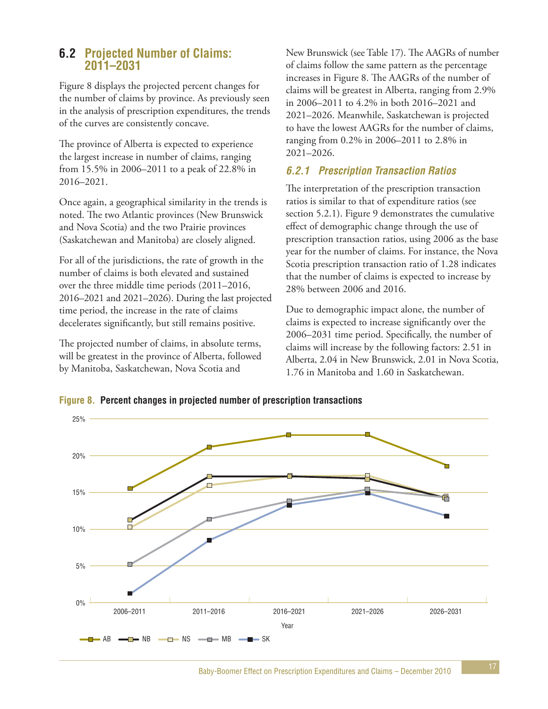### **6.2 Projected Number of Claims: 2011–2031**

Figure 8 displays the projected percent changes for the number of claims by province. As previously seen in the analysis of prescription expenditures, the trends of the curves are consistently concave.

The province of Alberta is expected to experience the largest increase in number of claims, ranging from 15.5% in 2006–2011 to a peak of 22.8% in 2016–2021.

Once again, a geographical similarity in the trends is noted. The two Atlantic provinces (New Brunswick and Nova Scotia) and the two Prairie provinces (Saskatchewan and Manitoba) are closely aligned.

For all of the jurisdictions, the rate of growth in the number of claims is both elevated and sustained over the three middle time periods (2011–2016, 2016–2021 and 2021–2026). During the last projected time period, the increase in the rate of claims decelerates significantly, but still remains positive.

The projected number of claims, in absolute terms, will be greatest in the province of Alberta, followed by Manitoba, Saskatchewan, Nova Scotia and

New Brunswick (see Table 17). The AAGRs of number of claims follow the same pattern as the percentage increases in Figure 8. The AAGRs of the number of claims will be greatest in Alberta, ranging from 2.9% in 2006–2011 to 4.2% in both 2016–2021 and 2021–2026. Meanwhile, Saskatchewan is projected to have the lowest AAGRs for the number of claims, ranging from 0.2% in 2006–2011 to 2.8% in 2021–2026.

### **6.2.1 Prescription Transaction Ratios**

The interpretation of the prescription transaction ratios is similar to that of expenditure ratios (see section 5.2.1). Figure 9 demonstrates the cumulative effect of demographic change through the use of prescription transaction ratios, using 2006 as the base year for the number of claims. For instance, the Nova Scotia prescription transaction ratio of 1.28 indicates that the number of claims is expected to increase by 28% between 2006 and 2016.

Due to demographic impact alone, the number of claims is expected to increase significantly over the 2006–2031 time period. Specifically, the number of claims will increase by the following factors: 2.51 in Alberta, 2.04 in New Brunswick, 2.01 in Nova Scotia, 1.76 in Manitoba and 1.60 in Saskatchewan.

**Figure 8. Percent changes in projected number of prescription transactions**

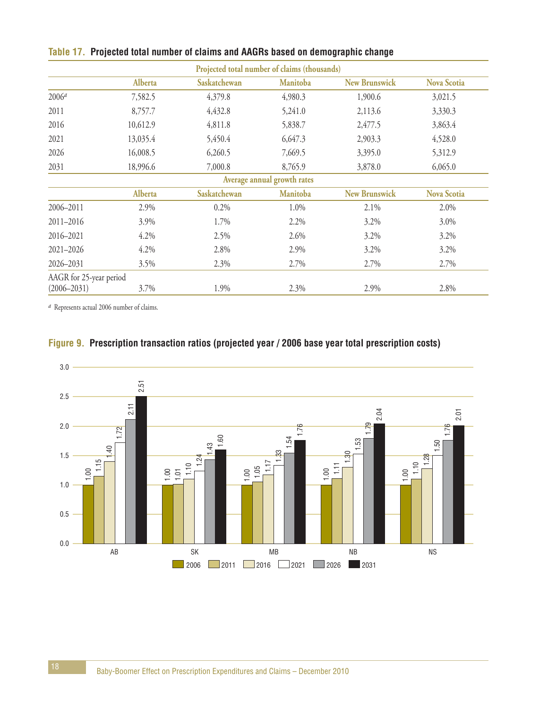|                         |          |              | Projected total number of claims (thousands) |                      |                    |
|-------------------------|----------|--------------|----------------------------------------------|----------------------|--------------------|
|                         | Alberta  | Saskatchewan | <b>Manitoba</b>                              | <b>New Brunswick</b> | <b>Nova Scotia</b> |
| $2006^{\circ}$          | 7,582.5  | 4,379.8      | 4,980.3                                      | 1,900.6              | 3,021.5            |
| 2011                    | 8,757.7  | 4,432.8      | 5,241.0                                      | 2,113.6              | 3,330.3            |
| 2016                    | 10,612.9 | 4,811.8      | 5,838.7                                      | 2,477.5              | 3,863.4            |
| 2021                    | 13,035.4 | 5,450.4      | 6,647.3                                      | 2,903.3              | 4,528.0            |
| 2026                    | 16,008.5 | 6,260.5      | 7,669.5                                      | 3,395.0              | 5,312.9            |
| 2031                    | 18,996.6 | 7,000.8      | 8,765.9                                      | 3,878.0              | 6,065.0            |
|                         |          |              | Average annual growth rates                  |                      |                    |
|                         | Alberta  | Saskatchewan | <b>Manitoba</b>                              | <b>New Brunswick</b> | <b>Nova Scotia</b> |
| 2006-2011               | 2.9%     | 0.2%         | 1.0%                                         | 2.1%                 | 2.0%               |
| 2011-2016               | 3.9%     | 1.7%         | 2.2%                                         | 3.2%                 | 3.0%               |
| 2016-2021               | 4.2%     | 2.5%         | 2.6%                                         | 3.2%                 | $3.2\%$            |
| 2021-2026               | 4.2%     | 2.8%         | 2.9%                                         | 3.2%                 | $3.2\%$            |
| 2026-2031               | 3.5%     | 2.3%         | 2.7%                                         | 2.7%                 | 2.7%               |
| AAGR for 25-year period |          |              |                                              |                      |                    |
| $(2006 - 2031)$         | 3.7%     | 1.9%         | 2.3%                                         | 2.9%                 | 2.8%               |

### **Table 17. Projected total number of claims and AAGRs based on demographic change**

*a* Represents actual 2006 number of claims.



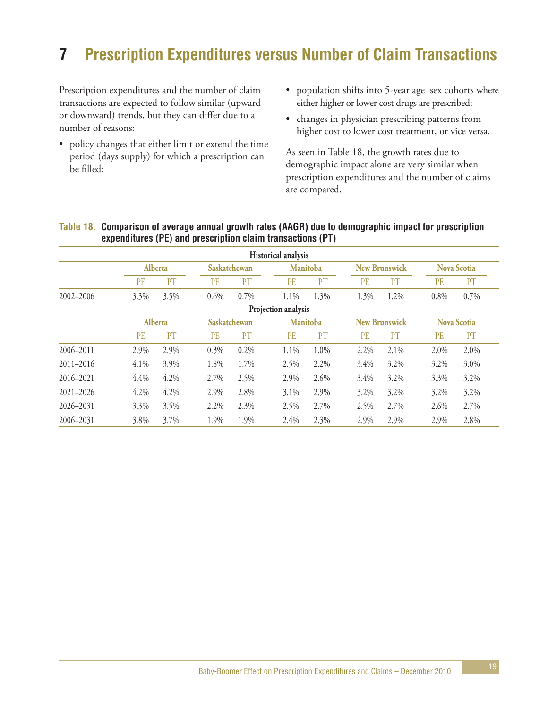# **7 Prescription Expenditures versus Number of Claim Transactions**

Prescription expenditures and the number of claim transactions are expected to follow similar (upward or downward) trends, but they can differ due to a number of reasons:

- policy changes that either limit or extend the time period (days supply) for which a prescription can be filled;
- population shifts into 5-year age–sex cohorts where either higher or lower cost drugs are prescribed;
- changes in physician prescribing patterns from higher cost to lower cost treatment, or vice versa.

As seen in Table 18, the growth rates due to demographic impact alone are very similar when prescription expenditures and the number of claims are compared.

|               |           |         |              |      | <b>Historical analysis</b> |                 |           |                      |           |                    |
|---------------|-----------|---------|--------------|------|----------------------------|-----------------|-----------|----------------------|-----------|--------------------|
|               |           | Alberta | Saskatchewan |      |                            | <b>Manitoba</b> |           | <b>New Brunswick</b> |           | <b>Nova Scotia</b> |
|               | <b>PE</b> | PT      | <b>PE</b>    | PT   | PE                         | PT              | <b>PE</b> | PT                   | <b>PE</b> | PT                 |
| 2002-2006     | 3.3%      | 3.5%    | 0.6%         | 0.7% | 1.1%                       | 1.3%            | 1.3%      | 1.2%                 | 0.8%      | 0.7%               |
|               |           |         |              |      | Projection analysis        |                 |           |                      |           |                    |
|               |           | Alberta | Saskatchewan |      |                            | <b>Manitoba</b> |           | <b>New Brunswick</b> |           | <b>Nova Scotia</b> |
|               | <b>PE</b> | PT      | <b>PE</b>    | PT   | PE                         | PT              | PE        | PT                   | PE        | PT                 |
| 2006-2011     | 2.9%      | 2.9%    | 0.3%         | 0.2% | 1.1%                       | 1.0%            | 2.2%      | 2.1%                 | 2.0%      | 2.0%               |
| $2011 - 2016$ | 4.1%      | 3.9%    | 1.8%         | 1.7% | 2.5%                       | 2.2%            | 3.4%      | 3.2%                 | 3.2%      | 3.0%               |
| 2016-2021     | 4.4%      | 4.2%    | 2.7%         | 2.5% | 2.9%                       | 2.6%            | 3.4%      | 3.2%                 | 3.3%      | 3.2%               |
| $2021 - 2026$ | 4.2%      | 4.2%    | 2.9%         | 2.8% | 3.1%                       | 2.9%            | 3.2%      | 3.2%                 | 3.2%      | 3.2%               |
| 2026-2031     | 3.3%      | 3.5%    | 2.2%         | 2.3% | 2.5%                       | 2.7%            | 2.5%      | 2.7%                 | 2.6%      | 2.7%               |
| 2006-2031     | 3.8%      | 3.7%    | 1.9%         | 1.9% | 2.4%                       | 2.3%            | 2.9%      | 2.9%                 | 2.9%      | 2.8%               |

#### **Table 18. Comparison of average annual growth rates (AAGR) due to demographic impact for prescription expenditures (PE) and prescription claim transactions (PT)**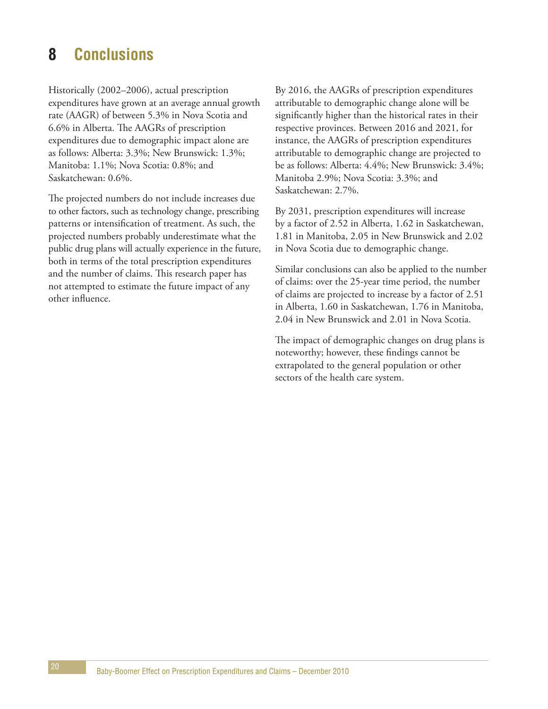# **8 Conclusions**

Historically (2002–2006), actual prescription expenditures have grown at an average annual growth rate (AAGR) of between 5.3% in Nova Scotia and 6.6% in Alberta. The AAGRs of prescription expenditures due to demographic impact alone are as follows: Alberta: 3.3%; New Brunswick: 1.3%; Manitoba: 1.1%; Nova Scotia: 0.8%; and Saskatchewan: 0.6%.

The projected numbers do not include increases due to other factors, such as technology change, prescribing patterns or intensification of treatment. As such, the projected numbers probably underestimate what the public drug plans will actually experience in the future, both in terms of the total prescription expenditures and the number of claims. This research paper has not attempted to estimate the future impact of any other influence.

By 2016, the AAGRs of prescription expenditures attributable to demographic change alone will be significantly higher than the historical rates in their respective provinces. Between 2016 and 2021, for instance, the AAGRs of prescription expenditures attributable to demographic change are projected to be as follows: Alberta: 4.4%; New Brunswick: 3.4%; Manitoba 2.9%; Nova Scotia: 3.3%; and Saskatchewan: 2.7%.

By 2031, prescription expenditures will increase by a factor of 2.52 in Alberta, 1.62 in Saskatchewan, 1.81 in Manitoba, 2.05 in New Brunswick and 2.02 in Nova Scotia due to demographic change.

Similar conclusions can also be applied to the number of claims: over the 25-year time period, the number of claims are projected to increase by a factor of 2.51 in Alberta, 1.60 in Saskatchewan, 1.76 in Manitoba, 2.04 in New Brunswick and 2.01 in Nova Scotia.

The impact of demographic changes on drug plans is noteworthy; however, these findings cannot be extrapolated to the general population or other sectors of the health care system.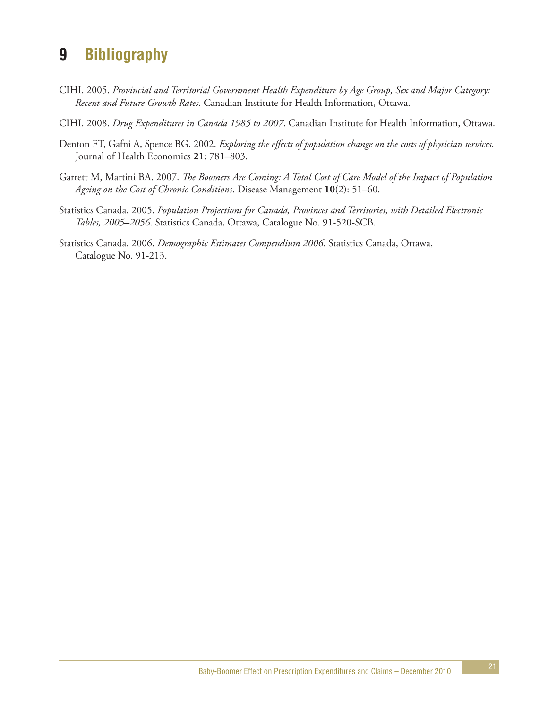# **9 Bibliography**

- CIHI. 2005. *Provincial and Territorial Government Health Expenditure by Age Group, Sex and Major Category: Recent and Future Growth Rates*. Canadian Institute for Health Information, Ottawa.
- CIHI. 2008. *Drug Expenditures in Canada 1985 to 2007*. Canadian Institute for Health Information, Ottawa.
- Denton FT, Gafni A, Spence BG. 2002. *Exploring the effects of population change on the costs of physician services*. Journal of Health Economics **21**: 781–803.
- Garrett M, Martini BA. 2007. *The Boomers Are Coming: A Total Cost of Care Model of the Impact of Population Ageing on the Cost of Chronic Conditions*. Disease Management **10**(2): 51–60.
- Statistics Canada. 2005. *Population Projections for Canada, Provinces and Territories, with Detailed Electronic Tables, 2005–2056*. Statistics Canada, Ottawa, Catalogue No. 91-520-SCB.
- Statistics Canada. 2006. *Demographic Estimates Compendium 2006*. Statistics Canada, Ottawa, Catalogue No. 91-213.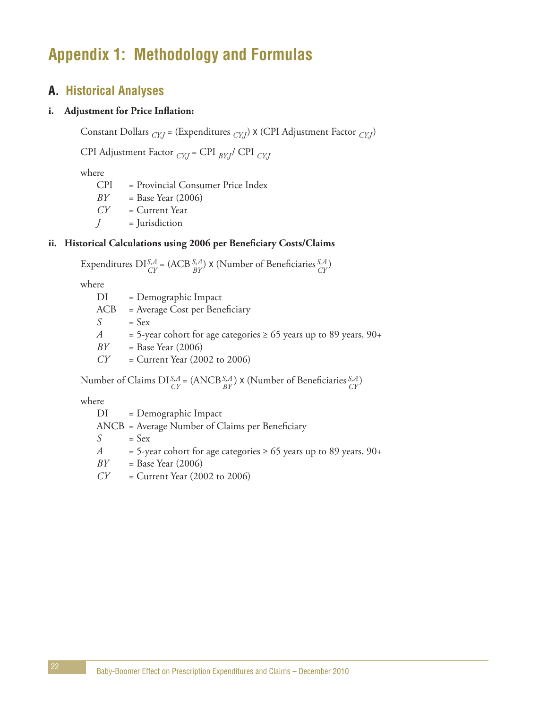# **Appendix 1: Methodology and Formulas**

### **A. Historical Analyses**

#### **i. Adjustment for Price Inflation:**

Constant Dollars *CY,J* = (Expenditures *CY,J*) x (CPI Adjustment Factor *CY,J*)

CPI Adjustment Factor *CY,J* = CPI *BY,J*/ CPI *CY,J*

where

CPI = Provincial Consumer Price Index *BY* = Base Year (2006) *CY* = Current Year *J* = Jurisdiction

#### **ii. Historical Calculations using 2006 per Beneficiary Costs/Claims**

Expenditures  $DI_{CV}^{S,A} = (ACB_{PV}^{S,A}) \times (Number of Benedicties_{CV}^{S,A})$ *CY S,A CY S,A BY*

where

DI = Demographic Impact ACB = Average Cost per Beneficiary  $S = Sex$ *A* = 5-year cohort for age categories  $\geq 65$  years up to 89 years, 90+ *BY* = Base Year (2006) *CY* = Current Year (2002 to 2006)

Number of Claims DI<sup>S,A</sup> = (ANCB<sup>S,A</sup>)  $\times$  (Number of Beneficiaries  ${}_{CY}^{S,A}$ ) *CY S,A CY S,A BY*

where

DI = Demographic Impact ANCB = Average Number of Claims per Beneficiary  $S = Sex$ *A* = 5-year cohort for age categories  $\geq 65$  years up to 89 years, 90+ *BY* = Base Year (2006) *CY* = Current Year (2002 to 2006)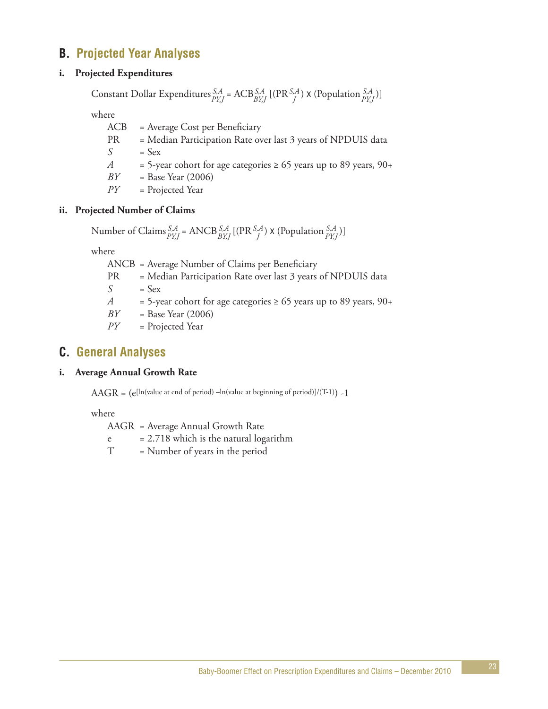# **B. Projected Year Analyses**

#### **i. Projected Expenditures**

Constant Dollar Expenditures  ${}_{p_{VI}}^{S,A}$  = ACB ${}_{p_{VI}}^{S,A}$  [(PR ${}_{q}^{S,A}$ ) x (Population  ${}_{p_{VI}}^{S,A}$ )] *PY,J S,A PY,J S,A J S,A BY,J*

where

ACB = Average Cost per Beneficiary PR = Median Participation Rate over last 3 years of NPDUIS data  $S = Sex$ *A* = 5-year cohort for age categories  $\geq 65$  years up to 89 years, 90+ *BY* = Base Year (2006)

*PY* = Projected Year

#### **ii. Projected Number of Claims**

Number of Claims  ${}_{\text{DVI}}^{S,A}$  = ANCB  ${}_{\text{DVI}}^{S,A}$  [(PR  ${}_{\text{A}}^{S,A}$ ) x (Population  ${}_{\text{DVI}}^{S,A}$ )] *PY,J S,A PY,J S,A J S,A BY,J*

where

ANCB = Average Number of Claims per Beneficiary

- PR = Median Participation Rate over last 3 years of NPDUIS data
- $S =$ Sex
- *A* = 5-year cohort for age categories  $\geq 65$  years up to 89 years, 90+

*BY* = Base Year (2006)

*PY* = Projected Year

### **C. General Analyses**

#### **i. Average Annual Growth Rate**

 $AAGR = (e[ln(value at end of period) - ln(value at beginning of period)]/(T-1)) - 1$ 

where

AAGR = Average Annual Growth Rate

 $e = 2.718$  which is the natural logarithm

T = Number of years in the period